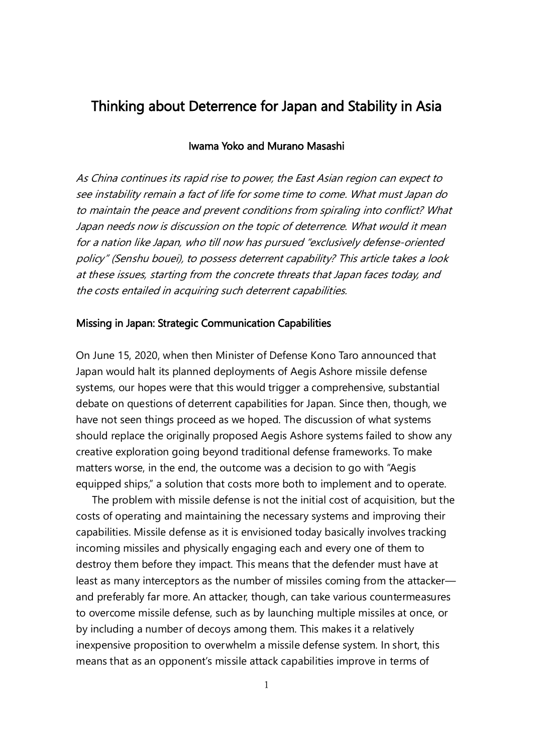# Thinking about Deterrence for Japan and Stability in Asia

## Iwama Yoko and Murano Masashi

As China continues its rapid rise to power, the East Asian region can expect to see instability remain a fact of life for some time to come. What must Japan do to maintain the peace and prevent conditions from spiraling into conflict? What Japan needs now is discussion on the topic of deterrence. What would it mean for a nation like Japan, who till now has pursued "exclusively defense-oriented policy" (Senshu bouei), to possess deterrent capability? This article takes a look at these issues, starting from the concrete threats that Japan faces today, and the costs entailed in acquiring such deterrent capabilities.

## Missing in Japan: Strategic Communication Capabilities

On June 15, 2020, when then Minister of Defense Kono Taro announced that Japan would halt its planned deployments of Aegis Ashore missile defense systems, our hopes were that this would trigger a comprehensive, substantial debate on questions of deterrent capabilities for Japan. Since then, though, we have not seen things proceed as we hoped. The discussion of what systems should replace the originally proposed Aegis Ashore systems failed to show any creative exploration going beyond traditional defense frameworks. To make matters worse, in the end, the outcome was a decision to go with "Aegis equipped ships," a solution that costs more both to implement and to operate.

The problem with missile defense is not the initial cost of acquisition, but the costs of operating and maintaining the necessary systems and improving their capabilities. Missile defense as it is envisioned today basically involves tracking incoming missiles and physically engaging each and every one of them to destroy them before they impact. This means that the defender must have at least as many interceptors as the number of missiles coming from the attacker and preferably far more. An attacker, though, can take various countermeasures to overcome missile defense, such as by launching multiple missiles at once, or by including a number of decoys among them. This makes it a relatively inexpensive proposition to overwhelm a missile defense system. In short, this means that as an opponent's missile attack capabilities improve in terms of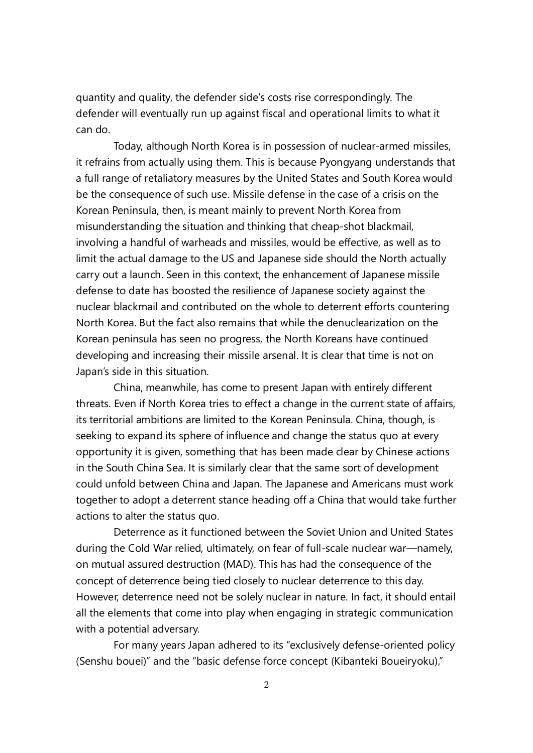quantity and quality, the defender side's costs rise correspondingly. The defender will eventually run up against fiscal and operational limits to what it can do.

Today, although North Korea is in possession of nuclear-armed missiles, it refrains from actually using them. This is because Pyongyang understands that a full range of retaliatory measures by the United States and South Korea would be the consequence of such use. Missile defense in the case of a crisis on the Korean Peninsula, then, is meant mainly to prevent North Korea from misunderstanding the situation and thinking that cheap-shot blackmail, involving a handful of warheads and missiles, would be effective, as well as to limit the actual damage to the US and Japanese side should the North actually carry out a launch. Seen in this context, the enhancement of Japanese missile defense to date has boosted the resilience of Japanese society against the nuclear blackmail and contributed on the whole to deterrent efforts countering North Korea. But the fact also remains that while the denuclearization on the Korean peninsula has seen no progress, the North Koreans have continued developing and increasing their missile arsenal. It is clear that time is not on Japan's side in this situation.

China, meanwhile, has come to present Japan with entirely different threats. Even if North Korea tries to effect a change in the current state of affairs, its territorial ambitions are limited to the Korean Peninsula. China, though, is seeking to expand its sphere of influence and change the status quo at every opportunity it is given, something that has been made clear by Chinese actions in the South China Sea. It is similarly clear that the same sort of development could unfold between China and Japan. The Japanese and Americans must work together to adopt a deterrent stance heading off a China that would take further actions to alter the status quo.

Deterrence as it functioned between the Soviet Union and United States during the Cold War relied, ultimately, on fear of full-scale nuclear war—namely, on mutual assured destruction (MAD). This has had the consequence of the concept of deterrence being tied closely to nuclear deterrence to this day. However, deterrence need not be solely nuclear in nature. In fact, it should entail all the elements that come into play when engaging in strategic communication with a potential adversary.

For many years Japan adhered to its "exclusively defense-oriented policy (Senshu bouei)" and the "basic defense force concept (Kibanteki Boueiryoku),"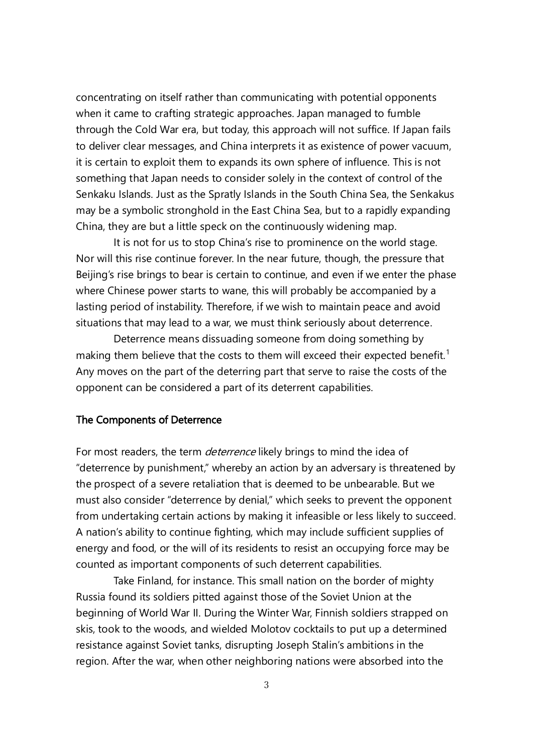concentrating on itself rather than communicating with potential opponents when it came to crafting strategic approaches. Japan managed to fumble through the Cold War era, but today, this approach will not suffice. If Japan fails to deliver clear messages, and China interprets it as existence of power vacuum, it is certain to exploit them to expands its own sphere of influence. This is not something that Japan needs to consider solely in the context of control of the Senkaku Islands. Just as the Spratly Islands in the South China Sea, the Senkakus may be a symbolic stronghold in the East China Sea, but to a rapidly expanding China, they are but a little speck on the continuously widening map.

It is not for us to stop China's rise to prominence on the world stage. Nor will this rise continue forever. In the near future, though, the pressure that Beijing's rise brings to bear is certain to continue, and even if we enter the phase where Chinese power starts to wane, this will probably be accompanied by a lasting period of instability. Therefore, if we wish to maintain peace and avoid situations that may lead to a war, we must think seriously about deterrence.

Deterrence means dissuading someone from doing something by making them believe that the costs to them will exceed their expected benefit.<sup>1</sup> Any moves on the part of the deterring part that serve to raise the costs of the opponent can be considered a part of its deterrent capabilities.

#### The Components of Deterrence

For most readers, the term *deterrence* likely brings to mind the idea of "deterrence by punishment," whereby an action by an adversary is threatened by the prospect of a severe retaliation that is deemed to be unbearable. But we must also consider "deterrence by denial," which seeks to prevent the opponent from undertaking certain actions by making it infeasible or less likely to succeed. A nation's ability to continue fighting, which may include sufficient supplies of energy and food, or the will of its residents to resist an occupying force may be counted as important components of such deterrent capabilities.

Take Finland, for instance. This small nation on the border of mighty Russia found its soldiers pitted against those of the Soviet Union at the beginning of World War II. During the Winter War, Finnish soldiers strapped on skis, took to the woods, and wielded Molotov cocktails to put up a determined resistance against Soviet tanks, disrupting Joseph Stalin's ambitions in the region. After the war, when other neighboring nations were absorbed into the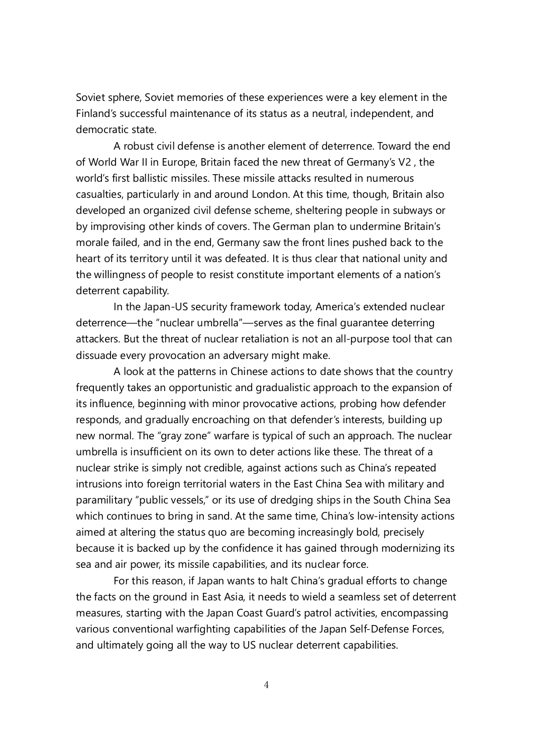Soviet sphere, Soviet memories of these experiences were a key element in the Finland's successful maintenance of its status as a neutral, independent, and democratic state.

A robust civil defense is another element of deterrence. Toward the end of World War II in Europe, Britain faced the new threat of Germany's V2 , the world's first ballistic missiles. These missile attacks resulted in numerous casualties, particularly in and around London. At this time, though, Britain also developed an organized civil defense scheme, sheltering people in subways or by improvising other kinds of covers. The German plan to undermine Britain's morale failed, and in the end, Germany saw the front lines pushed back to the heart of its territory until it was defeated. It is thus clear that national unity and the willingness of people to resist constitute important elements of a nation's deterrent capability.

In the Japan-US security framework today, America's extended nuclear deterrence—the "nuclear umbrella"—serves as the final guarantee deterring attackers. But the threat of nuclear retaliation is not an all-purpose tool that can dissuade every provocation an adversary might make.

A look at the patterns in Chinese actions to date shows that the country frequently takes an opportunistic and gradualistic approach to the expansion of its influence, beginning with minor provocative actions, probing how defender responds, and gradually encroaching on that defender's interests, building up new normal. The "gray zone" warfare is typical of such an approach. The nuclear umbrella is insufficient on its own to deter actions like these. The threat of a nuclear strike is simply not credible, against actions such as China's repeated intrusions into foreign territorial waters in the East China Sea with military and paramilitary "public vessels," or its use of dredging ships in the South China Sea which continues to bring in sand. At the same time, China's low-intensity actions aimed at altering the status quo are becoming increasingly bold, precisely because it is backed up by the confidence it has gained through modernizing its sea and air power, its missile capabilities, and its nuclear force.

For this reason, if Japan wants to halt China's gradual efforts to change the facts on the ground in East Asia, it needs to wield a seamless set of deterrent measures, starting with the Japan Coast Guard's patrol activities, encompassing various conventional warfighting capabilities of the Japan Self-Defense Forces, and ultimately going all the way to US nuclear deterrent capabilities.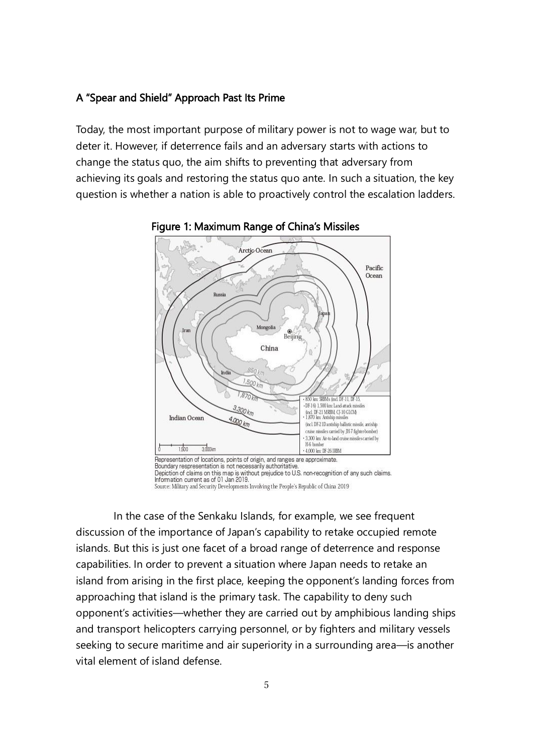## A "Spear and Shield" Approach Past Its Prime

Today, the most important purpose of military power is not to wage war, but to deter it. However, if deterrence fails and an adversary starts with actions to change the status quo, the aim shifts to preventing that adversary from achieving its goals and restoring the status quo ante. In such a situation, the key question is whether a nation is able to proactively control the escalation ladders.





Information current as of 01 Jan 2019. Source: Military and Security Developments Involving the People's Republic of China 2019

In the case of the Senkaku Islands, for example, we see frequent discussion of the importance of Japan's capability to retake occupied remote islands. But this is just one facet of a broad range of deterrence and response capabilities. In order to prevent a situation where Japan needs to retake an island from arising in the first place, keeping the opponent's landing forces from approaching that island is the primary task. The capability to deny such opponent's activities—whether they are carried out by amphibious landing ships and transport helicopters carrying personnel, or by fighters and military vessels seeking to secure maritime and air superiority in a surrounding area—is another vital element of island defense.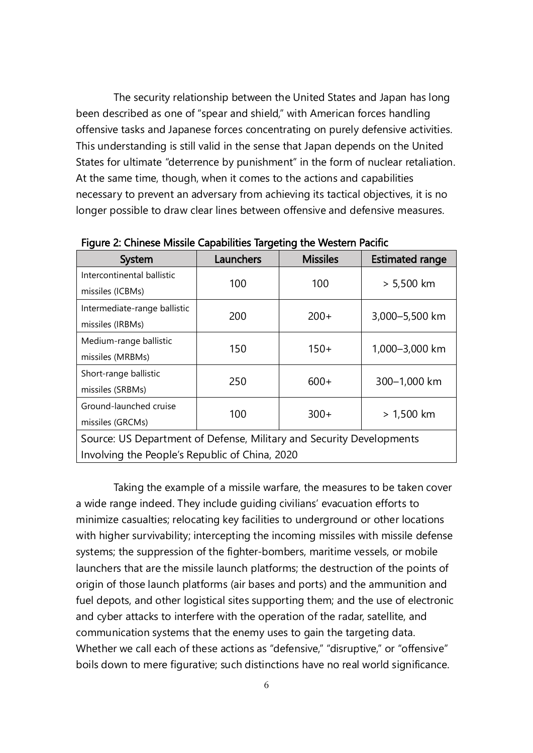The security relationship between the United States and Japan has long been described as one of "spear and shield," with American forces handling offensive tasks and Japanese forces concentrating on purely defensive activities. This understanding is still valid in the sense that Japan depends on the United States for ultimate "deterrence by punishment" in the form of nuclear retaliation. At the same time, though, when it comes to the actions and capabilities necessary to prevent an adversary from achieving its tactical objectives, it is no longer possible to draw clear lines between offensive and defensive measures.

| <b>System</b>                                                        | Launchers | <b>Missiles</b> | <b>Estimated range</b> |
|----------------------------------------------------------------------|-----------|-----------------|------------------------|
| Intercontinental ballistic                                           | 100       | 100             | $> 5,500$ km           |
| missiles (ICBMs)                                                     |           |                 |                        |
| Intermediate-range ballistic                                         | 200       | $200+$          | 3,000-5,500 km         |
| missiles (IRBMs)                                                     |           |                 |                        |
| Medium-range ballistic                                               | 150       | $150+$          | 1,000-3,000 km         |
| missiles (MRBMs)                                                     |           |                 |                        |
| Short-range ballistic                                                | 250       | $600+$          | 300-1,000 km           |
| missiles (SRBMs)                                                     |           |                 |                        |
| Ground-launched cruise                                               | 100       | $300+$          | $> 1,500$ km           |
| missiles (GRCMs)                                                     |           |                 |                        |
| Source: US Department of Defense, Military and Security Developments |           |                 |                        |
| Involving the People's Republic of China, 2020                       |           |                 |                        |

Figure 2: Chinese Missile Capabilities Targeting the Western Pacific

Taking the example of a missile warfare, the measures to be taken cover a wide range indeed. They include guiding civilians' evacuation efforts to minimize casualties; relocating key facilities to underground or other locations with higher survivability; intercepting the incoming missiles with missile defense systems; the suppression of the fighter-bombers, maritime vessels, or mobile launchers that are the missile launch platforms; the destruction of the points of origin of those launch platforms (air bases and ports) and the ammunition and fuel depots, and other logistical sites supporting them; and the use of electronic and cyber attacks to interfere with the operation of the radar, satellite, and communication systems that the enemy uses to gain the targeting data. Whether we call each of these actions as "defensive," "disruptive," or "offensive" boils down to mere figurative; such distinctions have no real world significance.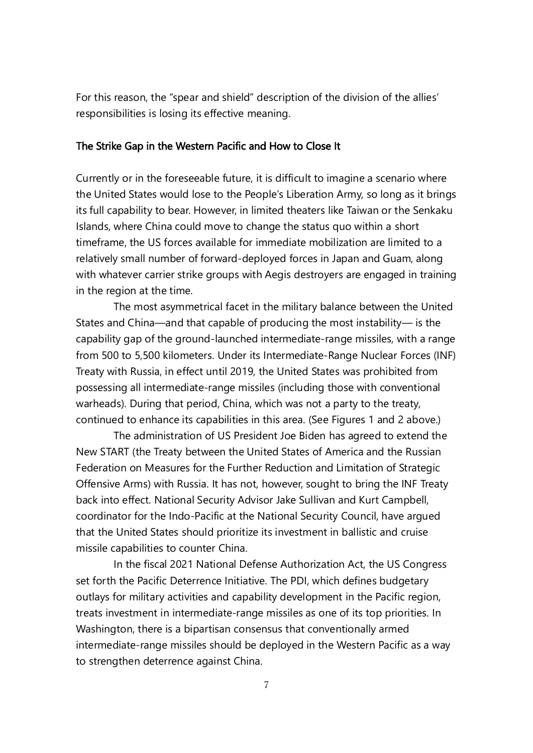For this reason, the "spear and shield" description of the division of the allies' responsibilities is losing its effective meaning.

#### The Strike Gap in the Western Pacific and How to Close It

Currently or in the foreseeable future, it is difficult to imagine a scenario where the United States would lose to the People's Liberation Army, so long as it brings its full capability to bear. However, in limited theaters like Taiwan or the Senkaku Islands, where China could move to change the status quo within a short timeframe, the US forces available for immediate mobilization are limited to a relatively small number of forward-deployed forces in Japan and Guam, along with whatever carrier strike groups with Aegis destroyers are engaged in training in the region at the time.

The most asymmetrical facet in the military balance between the United States and China—and that capable of producing the most instability— is the capability gap of the ground-launched intermediate-range missiles, with a range from 500 to 5,500 kilometers. Under its Intermediate-Range Nuclear Forces (INF) Treaty with Russia, in effect until 2019, the United States was prohibited from possessing all intermediate-range missiles (including those with conventional warheads). During that period, China, which was not a party to the treaty, continued to enhance its capabilities in this area. (See Figures 1 and 2 above.)

The administration of US President Joe Biden has agreed to extend the New START (the Treaty between the United States of America and the Russian Federation on Measures for the Further Reduction and Limitation of Strategic Offensive Arms) with Russia. It has not, however, sought to bring the INF Treaty back into effect. National Security Advisor Jake Sullivan and Kurt Campbell, coordinator for the Indo-Pacific at the National Security Council, have argued that the United States should prioritize its investment in ballistic and cruise missile capabilities to counter China.

In the fiscal 2021 National Defense Authorization Act, the US Congress set forth the Pacific Deterrence Initiative. The PDI, which defines budgetary outlays for military activities and capability development in the Pacific region, treats investment in intermediate-range missiles as one of its top priorities. In Washington, there is a bipartisan consensus that conventionally armed intermediate-range missiles should be deployed in the Western Pacific as a way to strengthen deterrence against China.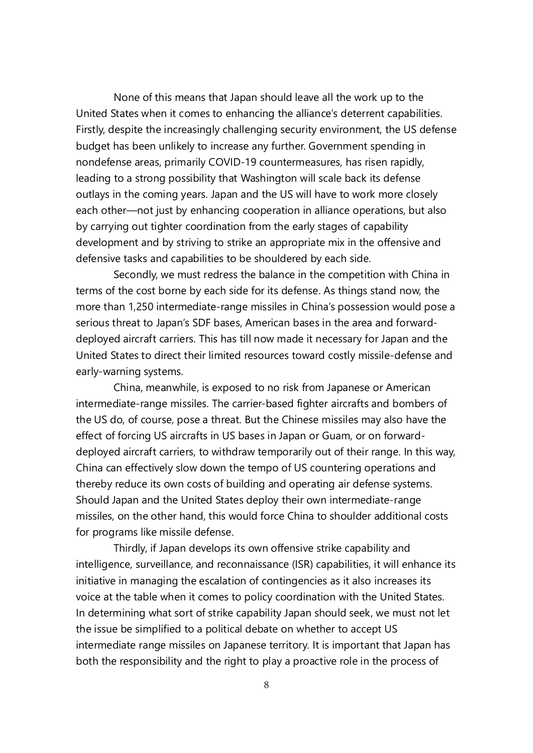None of this means that Japan should leave all the work up to the United States when it comes to enhancing the alliance's deterrent capabilities. Firstly, despite the increasingly challenging security environment, the US defense budget has been unlikely to increase any further. Government spending in nondefense areas, primarily COVID-19 countermeasures, has risen rapidly, leading to a strong possibility that Washington will scale back its defense outlays in the coming years. Japan and the US will have to work more closely each other—not just by enhancing cooperation in alliance operations, but also by carrying out tighter coordination from the early stages of capability development and by striving to strike an appropriate mix in the offensive and defensive tasks and capabilities to be shouldered by each side.

Secondly, we must redress the balance in the competition with China in terms of the cost borne by each side for its defense. As things stand now, the more than 1,250 intermediate-range missiles in China's possession would pose a serious threat to Japan's SDF bases, American bases in the area and forwarddeployed aircraft carriers. This has till now made it necessary for Japan and the United States to direct their limited resources toward costly missile-defense and early-warning systems.

China, meanwhile, is exposed to no risk from Japanese or American intermediate-range missiles. The carrier-based fighter aircrafts and bombers of the US do, of course, pose a threat. But the Chinese missiles may also have the effect of forcing US aircrafts in US bases in Japan or Guam, or on forwarddeployed aircraft carriers, to withdraw temporarily out of their range. In this way, China can effectively slow down the tempo of US countering operations and thereby reduce its own costs of building and operating air defense systems. Should Japan and the United States deploy their own intermediate-range missiles, on the other hand, this would force China to shoulder additional costs for programs like missile defense.

Thirdly, if Japan develops its own offensive strike capability and intelligence, surveillance, and reconnaissance (ISR) capabilities, it will enhance its initiative in managing the escalation of contingencies as it also increases its voice at the table when it comes to policy coordination with the United States. In determining what sort of strike capability Japan should seek, we must not let the issue be simplified to a political debate on whether to accept US intermediate range missiles on Japanese territory. It is important that Japan has both the responsibility and the right to play a proactive role in the process of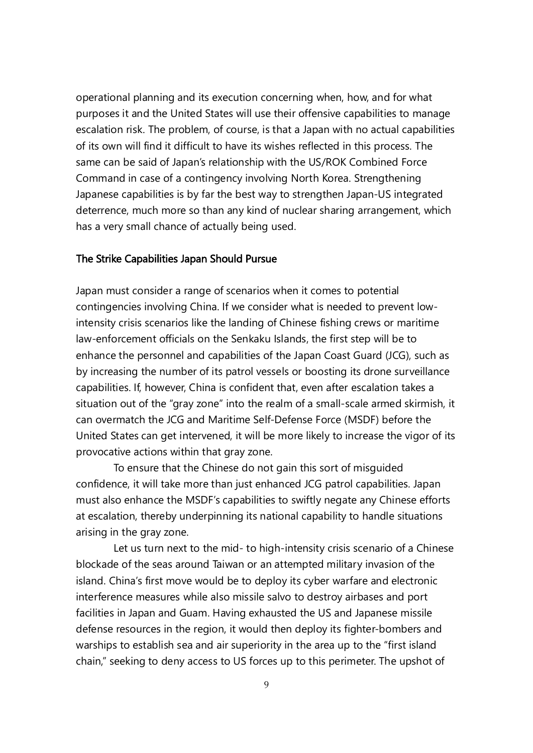operational planning and its execution concerning when, how, and for what purposes it and the United States will use their offensive capabilities to manage escalation risk. The problem, of course, is that a Japan with no actual capabilities of its own will find it difficult to have its wishes reflected in this process. The same can be said of Japan's relationship with the US/ROK Combined Force Command in case of a contingency involving North Korea. Strengthening Japanese capabilities is by far the best way to strengthen Japan-US integrated deterrence, much more so than any kind of nuclear sharing arrangement, which has a very small chance of actually being used.

#### The Strike Capabilities Japan Should Pursue

Japan must consider a range of scenarios when it comes to potential contingencies involving China. If we consider what is needed to prevent lowintensity crisis scenarios like the landing of Chinese fishing crews or maritime law-enforcement officials on the Senkaku Islands, the first step will be to enhance the personnel and capabilities of the Japan Coast Guard (JCG), such as by increasing the number of its patrol vessels or boosting its drone surveillance capabilities. If, however, China is confident that, even after escalation takes a situation out of the "gray zone" into the realm of a small-scale armed skirmish, it can overmatch the JCG and Maritime Self-Defense Force (MSDF) before the United States can get intervened, it will be more likely to increase the vigor of its provocative actions within that gray zone.

To ensure that the Chinese do not gain this sort of misguided confidence, it will take more than just enhanced JCG patrol capabilities. Japan must also enhance the MSDF's capabilities to swiftly negate any Chinese efforts at escalation, thereby underpinning its national capability to handle situations arising in the gray zone.

Let us turn next to the mid- to high-intensity crisis scenario of a Chinese blockade of the seas around Taiwan or an attempted military invasion of the island. China's first move would be to deploy its cyber warfare and electronic interference measures while also missile salvo to destroy airbases and port facilities in Japan and Guam. Having exhausted the US and Japanese missile defense resources in the region, it would then deploy its fighter-bombers and warships to establish sea and air superiority in the area up to the "first island chain," seeking to deny access to US forces up to this perimeter. The upshot of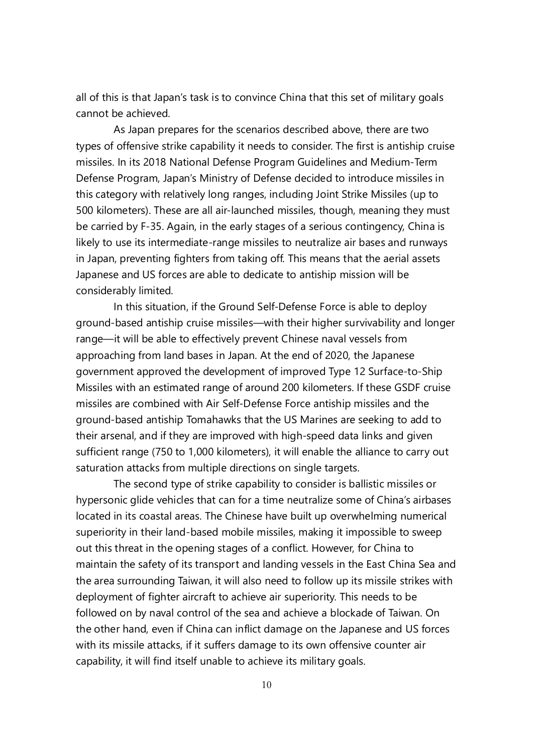all of this is that Japan's task is to convince China that this set of military goals cannot be achieved.

As Japan prepares for the scenarios described above, there are two types of offensive strike capability it needs to consider. The first is antiship cruise missiles. In its 2018 National Defense Program Guidelines and Medium-Term Defense Program, Japan's Ministry of Defense decided to introduce missiles in this category with relatively long ranges, including Joint Strike Missiles (up to 500 kilometers). These are all air-launched missiles, though, meaning they must be carried by F-35. Again, in the early stages of a serious contingency, China is likely to use its intermediate-range missiles to neutralize air bases and runways in Japan, preventing fighters from taking off. This means that the aerial assets Japanese and US forces are able to dedicate to antiship mission will be considerably limited.

In this situation, if the Ground Self-Defense Force is able to deploy ground-based antiship cruise missiles—with their higher survivability and longer range—it will be able to effectively prevent Chinese naval vessels from approaching from land bases in Japan. At the end of 2020, the Japanese government approved the development of improved Type 12 Surface-to-Ship Missiles with an estimated range of around 200 kilometers. If these GSDF cruise missiles are combined with Air Self-Defense Force antiship missiles and the ground-based antiship Tomahawks that the US Marines are seeking to add to their arsenal, and if they are improved with high-speed data links and given sufficient range (750 to 1,000 kilometers), it will enable the alliance to carry out saturation attacks from multiple directions on single targets.

The second type of strike capability to consider is ballistic missiles or hypersonic glide vehicles that can for a time neutralize some of China's airbases located in its coastal areas. The Chinese have built up overwhelming numerical superiority in their land-based mobile missiles, making it impossible to sweep out this threat in the opening stages of a conflict. However, for China to maintain the safety of its transport and landing vessels in the East China Sea and the area surrounding Taiwan, it will also need to follow up its missile strikes with deployment of fighter aircraft to achieve air superiority. This needs to be followed on by naval control of the sea and achieve a blockade of Taiwan. On the other hand, even if China can inflict damage on the Japanese and US forces with its missile attacks, if it suffers damage to its own offensive counter air capability, it will find itself unable to achieve its military goals.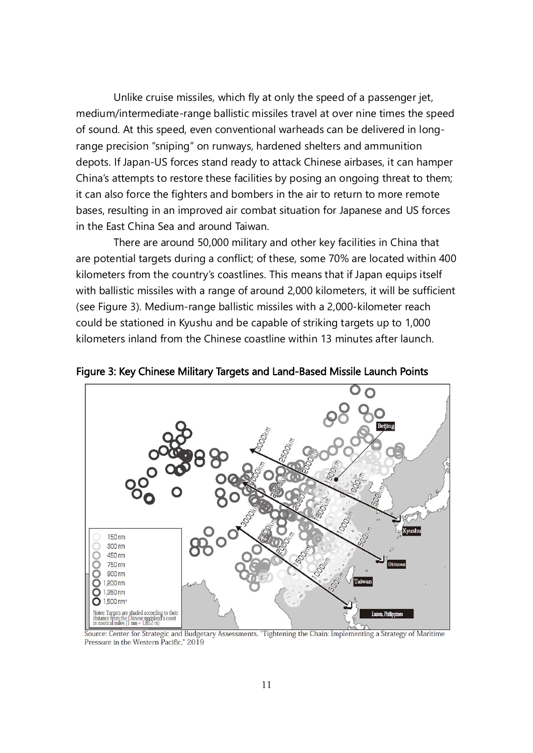Unlike cruise missiles, which fly at only the speed of a passenger jet, medium/intermediate-range ballistic missiles travel at over nine times the speed of sound. At this speed, even conventional warheads can be delivered in longrange precision "sniping" on runways, hardened shelters and ammunition depots. If Japan-US forces stand ready to attack Chinese airbases, it can hamper China's attempts to restore these facilities by posing an ongoing threat to them; it can also force the fighters and bombers in the air to return to more remote bases, resulting in an improved air combat situation for Japanese and US forces in the East China Sea and around Taiwan.

There are around 50,000 military and other key facilities in China that are potential targets during a conflict; of these, some 70% are located within 400 kilometers from the country's coastlines. This means that if Japan equips itself with ballistic missiles with a range of around 2,000 kilometers, it will be sufficient (see Figure 3). Medium-range ballistic missiles with a 2,000-kilometer reach could be stationed in Kyushu and be capable of striking targets up to 1,000 kilometers inland from the Chinese coastline within 13 minutes after launch.



Figure 3: Key Chinese Military Targets and Land-Based Missile Launch Points

Source: Center for Strategic and Budgetary Assessments, "Tightening the Chain: Implementing a Strategy of Maritime Pressure in the Western Pacific," 2019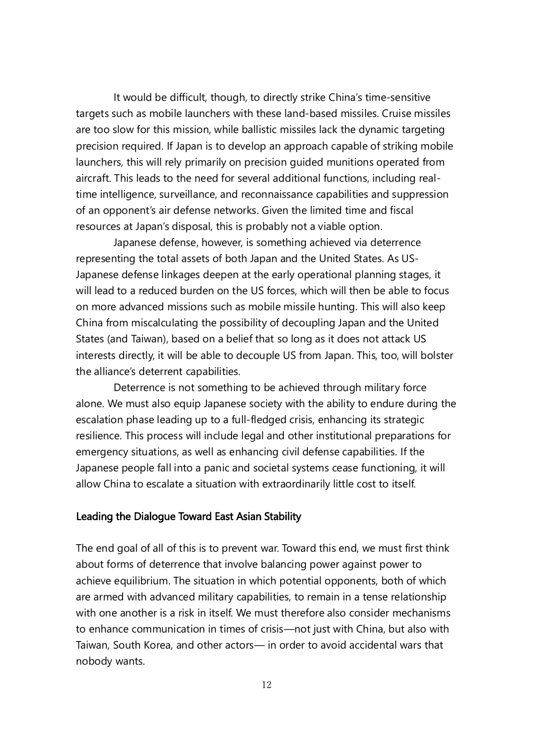It would be difficult, though, to directly strike China's time-sensitive targets such as mobile launchers with these land-based missiles. Cruise missiles are too slow for this mission, while ballistic missiles lack the dynamic targeting precision required. If Japan is to develop an approach capable of striking mobile launchers, this will rely primarily on precision guided munitions operated from aircraft. This leads to the need for several additional functions, including realtime intelligence, surveillance, and reconnaissance capabilities and suppression of an opponent's air defense networks. Given the limited time and fiscal resources at Japan's disposal, this is probably not a viable option.

Japanese defense, however, is something achieved via deterrence representing the total assets of both Japan and the United States. As US-Japanese defense linkages deepen at the early operational planning stages, it will lead to a reduced burden on the US forces, which will then be able to focus on more advanced missions such as mobile missile hunting. This will also keep China from miscalculating the possibility of decoupling Japan and the United States (and Taiwan), based on a belief that so long as it does not attack US interests directly, it will be able to decouple US from Japan. This, too, will bolster the alliance's deterrent capabilities.

Deterrence is not something to be achieved through military force alone. We must also equip Japanese society with the ability to endure during the escalation phase leading up to a full-fledged crisis, enhancing its strategic resilience. This process will include legal and other institutional preparations for emergency situations, as well as enhancing civil defense capabilities. If the Japanese people fall into a panic and societal systems cease functioning, it will allow China to escalate a situation with extraordinarily little cost to itself.

## Leading the Dialogue Toward East Asian Stability

The end goal of all of this is to prevent war. Toward this end, we must first think about forms of deterrence that involve balancing power against power to achieve equilibrium. The situation in which potential opponents, both of which are armed with advanced military capabilities, to remain in a tense relationship with one another is a risk in itself. We must therefore also consider mechanisms to enhance communication in times of crisis—not just with China, but also with Taiwan, South Korea, and other actors— in order to avoid accidental wars that nobody wants.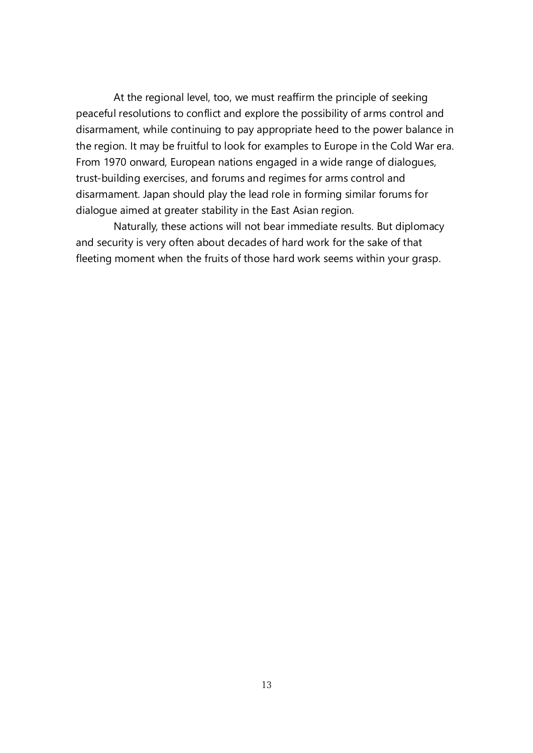At the regional level, too, we must reaffirm the principle of seeking peaceful resolutions to conflict and explore the possibility of arms control and disarmament, while continuing to pay appropriate heed to the power balance in the region. It may be fruitful to look for examples to Europe in the Cold War era. From 1970 onward, European nations engaged in a wide range of dialogues, trust-building exercises, and forums and regimes for arms control and disarmament. Japan should play the lead role in forming similar forums for dialogue aimed at greater stability in the East Asian region.

Naturally, these actions will not bear immediate results. But diplomacy and security is very often about decades of hard work for the sake of that fleeting moment when the fruits of those hard work seems within your grasp.